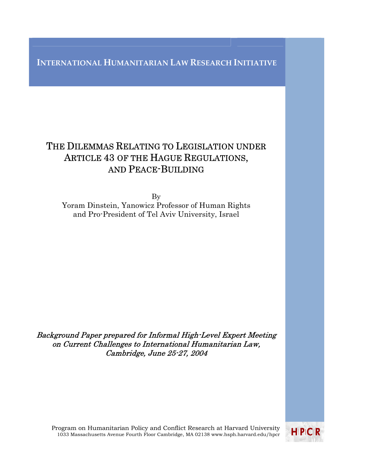## **INTERNATIONAL HUMANITARIAN LAW RESEARCH INITIATIVE**

# THE DILEMMAS RELATING TO LEGISLATION UNDER ARTICLE 43 OF THE HAGUE REGULATIONS, AND PEACE-BUILDING

By Yoram Dinstein, Yanowicz Professor of Human Rights and Pro-President of Tel Aviv University, Israel

Background Paper prepared for Informal High-Level Expert Meeting on Current Challenges to International Humanitarian Law, Cambridge, June 25-27, 2004

Program on Humanitarian Policy and Conflict Research at Harvard University 1033 Massachusetts Avenue Fourth Floor Cambridge, MA 02138 www.hsph.harvard.edu/hpcr

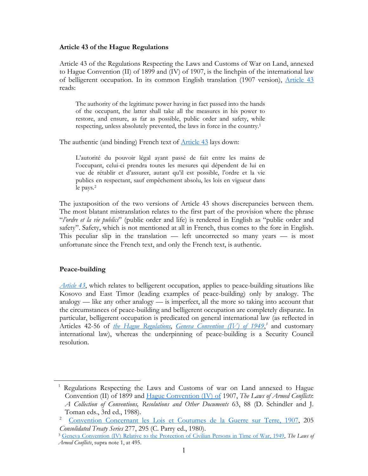#### **Article 43 of the Hague Regulations**

Article 43 of the Regulations Respecting the Laws and Customs of War on Land, annexed to Hague Convention (II) of 1899 and (IV) of 1907, is the linchpin of the international law of belligerent occupation. In its common English translation (1907 version), [Article 43](http://www.icrc.org/ihl.nsf/51b22df69e39d9d3c12563cd00587b41/3741eab8e36e9274c12563cd00516894?OpenDocument) reads:

The authority of the legitimate power having in fact passed into the hands of the occupant, the latter shall take all the measures in his power to restore, and ensure, as far as possible, public order and safety, while respecting, unless absolutely prevented, the laws in force in the country.[1](#page-1-0)

The authentic (and binding) French text of **[Article 43](http://www.icrc.org/dih.nsf/acf299f22a82aece4125673c00458708/48b0c736a648e654c12563bd002ba3ef?OpenDocument)** lays down:

L'autorité du pouvoir légal ayant passé de fait entre les mains de l'occupant, celui-ci prendra toutes les mesures qui dépendent de lui en vue de rétablir et d'assurer, autant qu'il est possible, l'ordre et la vie publics en respectant, sauf empêchement absolu, les lois en vigueur dans le pays.[2](#page-1-1)

The juxtaposition of the two versions of Article 43 shows discrepancies between them. The most blatant mistranslation relates to the first part of the provision where the phrase "*l'ordre et la vie publics*" (public order and life) is rendered in English as "public order and safety". Safety, which is not mentioned at all in French, thus comes to the fore in English. This peculiar slip in the translation — left uncorrected so many years — is most unfortunate since the French text, and only the French text, is authentic.

## **Peace-building**

 $\overline{a}$ 

*[Article 43](http://www.icrc.org/ihl.nsf/51b22df69e39d9d3c12563cd00587b41/3741eab8e36e9274c12563cd00516894?OpenDocument)*, which relates to belligerent occupation, applies to peace-building situations like Kosovo and East Timor (leading examples of peace-building) only by analogy. The analogy — like any other analogy — is imperfect, all the more so taking into account that the circumstances of peace-building and belligerent occupation are completely disparate. In particular, belligerent occupation is predicated on general international law (as reflected in Articles 42-56 of *[the Hague Regulations](http://www.icrc.org/ihl.nsf/ART?OpenView&Start=1&Count=150&Expand=19)*, *[Geneva Convention \(IV\) of 1949](http://www.icrc.org/ihl.nsf/1595a804df7efd6bc125641400640d89/6756482d86146898c125641e004aa3c5?OpenDocument)*,<sup>[3](#page-1-2)</sup> and customary international law), whereas the underpinning of peace-building is a Security Council resolution.

<span id="page-1-0"></span><sup>1</sup> Regulations Respecting the Laws and Customs of war on Land annexed to Hague Convention (II) of 1899 and [Hague Convention \(IV\) of](http://www.icrc.org/ihl.nsf/52d68d14de6160e0c12563da005fdb1b/1d1726425f6955aec125641e0038bfd6?OpenDocument) 1907, *The Laws of Armed Conflicts*: *A Collection of Conventions, Resolutions and Other Documents* 63, 88 (D. Schindler and J. Toman eds., 3rd ed., 1988).

<span id="page-1-1"></span>[Convention Concernant les Lois et Coutumes de la Guerre sur Terre, 1907,](http://www.icrc.org/dih.nsf/48f761e1a61e194b4125673c0045870f/73bf1431f064aec0c1256417004a0be0?OpenDocument) 205 *Consolidated Treaty Series* 277, 295 (C. Parry ed., 1980).

<span id="page-1-2"></span><sup>3</sup> [Geneva Convention \(IV\) Relative to the Protection of Civilian Persons in Time of War, 1949,](http://www.icrc.org/ihl.nsf/1595a804df7efd6bc125641400640d89/6756482d86146898c125641e004aa3c5?OpenDocument) *The Laws of Armed Conflicts*, supra note 1, at 495.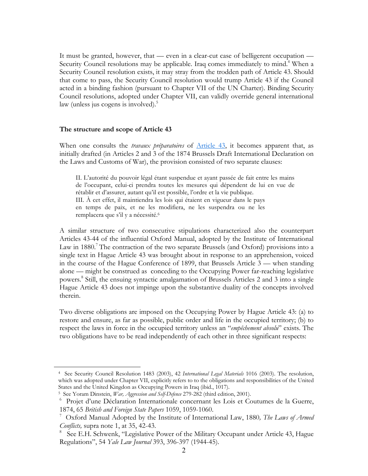It must be granted, however, that — even in a clear-cut case of belligerent occupation — Security Council resolutions may be applicable. Iraq comes immediately to mind.<sup>[4](#page-2-0)</sup> When a Security Council resolution exists, it may stray from the trodden path of Article 43. Should that come to pass, the Security Council resolution would trump Article 43 if the Council acted in a binding fashion (pursuant to Chapter VII of the UN Charter). Binding Security Council resolutions, adopted under Chapter VII, can validly override general international law (unless jus cogens is involved).<sup>[5](#page-2-1)</sup>

#### **The structure and scope of Article 43**

When one consults the *travaux préparatoires* of [Article 43,](http://www.icrc.org/ihl.nsf/51b22df69e39d9d3c12563cd00587b41/3741eab8e36e9274c12563cd00516894?OpenDocument) it becomes apparent that, as initially drafted (in Articles 2 and 3 of the 1874 Brussels Draft International Declaration on the Laws and Customs of War), the provision consisted of two separate clauses:

II. L'autorité du pouvoir légal étant suspendue et ayant passée de fait entre les mains de l'occupant, celui-ci prendra toutes les mesures qui dépendent de lui en vue de rétablir et d'assurer, autant qu'il est possible, l'ordre et la vie publique. III. À cet effet, il maintiendra les lois qui étaient en vigueur dans le pays en temps de paix, et ne les modifiera, ne les suspendra ou ne les remplacera que s'il y a nécessité.<sup>6</sup>

A similar structure of two consecutive stipulations characterized also the counterpart Articles 43-44 of the influential Oxford Manual, adopted by the Institute of International Law in 1880. The contraction of the two separate Brussels (and Oxford) provisions into a single text in Hague Article 43 was brought about in response to an apprehension, voiced in the course of the Hague Conference of 1899, that Brussels Article 3 — when standing alone — might be construed as conceding to the Occupying Power far-reaching legislative powers.<sup>8</sup> Still, the ensuing syntactic amalgamation of Brussels Articles 2 and 3 into a single Hague Article 43 does not impinge upon the substantive duality of the concepts involved therein.

Two diverse obligations are imposed on the Occupying Power by Hague Article 43: (a) to restore and ensure, as far as possible, public order and life in the occupied territory; (b) to respect the laws in force in the occupied territory unless an "*empêchement absolu*" exists. The two obligations have to be read independently of each other in three significant respects:

<span id="page-2-0"></span><sup>4</sup> See Security Council Resolution 1483 (2003), 42 *International Legal Materials* 1016 (2003). The resolution, which was adopted under Chapter VII, explicitly refers to to the obligations and responsibilities of the United States and the United Kingdon as Occupying Powers in Iraq (ibid., 1017). 5 See Yoram Dinstein, *War, Aggression and Self-Defence* 279-282 (third edition, 2001).

<span id="page-2-1"></span>

<span id="page-2-2"></span><sup>&</sup>lt;sup>6</sup> Projet d'une Déclaration Internationale concernant les Lois et Coutumes de la Guerre, 1874, 65 *British and Foreign State Papers* 1059, 1059-1060. 7 Oxford Manual Adopted by the Institute of International Law, 1880*, The Laws of Armed* 

<span id="page-2-3"></span>*Conflicts,* supra note 1, at 35, 42-43.

<span id="page-2-4"></span><sup>8</sup> See E.H. Schwenk, "Legislative Power of the Military Occupant under Article 43, Hague Regulations", 54 *Yale Law Journal* 393, 396-397 (1944-45).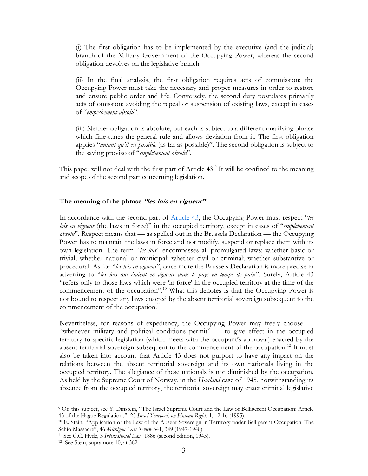(i) The first obligation has to be implemented by the executive (and the judicial) branch of the Military Government of the Occupying Power, whereas the second obligation devolves on the legislative branch.

(ii) In the final analysis, the first obligation requires acts of commission: the Occupying Power must take the necessary and proper measures in order to restore and ensure public order and life. Conversely, the second duty postulates primarily acts of omission: avoiding the repeal or suspension of existing laws, except in cases of "*empêchement absolu*".

(iii) Neither obligation is absolute, but each is subject to a different qualifying phrase which fine-tunes the general rule and allows deviation from it. The first obligation applies "*autant qu'il est possible* (as far as possible)". The second obligation is subject to the saving proviso of "*empêchement absolu*".

This paper will not deal with the first part of Article 43.<sup>9</sup> It will be confined to the meaning and scope of the second part concerning legislation.

#### **The meaning of the phrase "les lois en vigueur"**

In accordance with the second part of [Article 43](http://www.icrc.org/ihl.nsf/51b22df69e39d9d3c12563cd00587b41/3741eab8e36e9274c12563cd00516894?OpenDocument), the Occupying Power must respect "*les lois en vigueur* (the laws in force)" in the occupied territory, except in cases of "*empêchement absolu*". Respect means that — as spelled out in the Brussels Declaration — the Occupying Power has to maintain the laws in force and not modify, suspend or replace them with its own legislation. The term "*les lois*" encompasses all promulgated laws: whether basic or trivial; whether national or municipal; whether civil or criminal; whether substantive or procedural. As for "*les lois en vigueur*", once more the Brussels Declaration is more precise in adverting to "*les lois qui étaient en vigueur dans le pays en temps de paix*". Surely, Article 43 "refers only to those laws which were 'in force' in the occupied territory at the time of the commencement of the occupation".<sup>10</sup> What this denotes is that the Occupying Power is not bound to respect any laws enacted by the absent territorial sovereign subsequent to the commencement of the occupation.<sup>11</sup>

Nevertheless, for reasons of expediency, the Occupying Power may freely choose — "whenever military and political conditions permit" — to give effect in the occupied territory to specific legislation (which meets with the occupant's approval) enacted by the absent territorial sovereign subsequent to the commencement of the occupation.<sup>12</sup> It must also be taken into account that Article 43 does not purport to have any impact on the relations between the absent territorial sovereign and its own nationals living in the occupied territory. The allegiance of these nationals is not diminished by the occupation. As held by the Supreme Court of Norway, in the *Haaland* case of 1945, notwithstanding its absence from the occupied territory, the territorial sovereign may enact criminal legislative

<span id="page-3-0"></span><sup>9</sup> On this subject, see Y. Dinstein, "The Israel Supreme Court and the Law of Belligerent Occupation: Article

<span id="page-3-1"></span><sup>43</sup> of the Hague Regulations", 25 *Israel Yearbook on Human Rights* 1, 12-16 (1995).<br><sup>10</sup> E. Stein, "Application of the Law of the Absent Sovereign in Territory under Belligerent Occupation: The<br>Schio Massacre", 46 *Michiga* 

<span id="page-3-2"></span><sup>&</sup>lt;sup>11</sup> See C.C. Hyde, 3 *International Law* 1886 (second edition, 1945). <sup>12</sup> See Stein, supra note 10, at 362.

<span id="page-3-3"></span>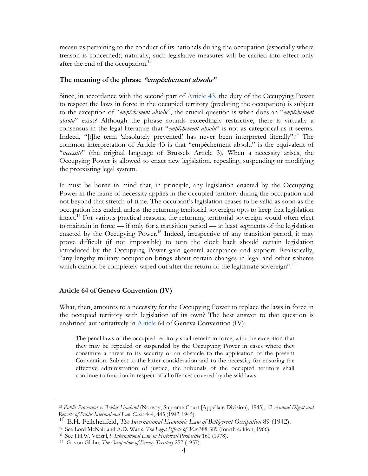measures pertaining to the conduct of its nationals during the occupation (especially where treason is concerned); naturally, such legislative measures will be carried into effect only after the end of the occupation.<sup>[13](#page-4-0)</sup>

#### **The meaning of the phrase "empêchement absolu"**

Since, in accordance with the second part of [Article 43,](http://www.icrc.org/ihl.nsf/51b22df69e39d9d3c12563cd00587b41/3741eab8e36e9274c12563cd00516894?OpenDocument) the duty of the Occupying Power to respect the laws in force in the occupied territory (predating the occupation) is subject to the exception of "*empêchement absolu*", the crucial question is when does an "*empêchement absolu*" exist? Although the phrase sounds exceedingly restrictive, there is virtually a consensus in the legal literature that "*empêchement absolu*" is not as categorical as it seems. Indeed, "[t]he term 'absolutely prevented' has never been interpreted literally".<sup>14</sup> The common interpretation of Article 43 is that "empêchement absolu" is the equivalent of "*necessité*" (the original language of Brussels Article 3). When a necessity arises, the Occupying Power is allowed to enact new legislation, repealing, suspending or modifying the preexisting legal system.

It must be borne in mind that, in principle, any legislation enacted by the Occupying Power in the name of necessity applies in the occupied territory during the occupation and not beyond that stretch of time. The occupant's legislation ceases to be valid as soon as the occupation has ended, unless the returning territorial sovereign opts to keep that legislation intact[.15](#page-4-2) For various practical reasons, the returning territorial sovereign would often elect to maintain in force — if only for a transition period — at least segments of the legislation enacted by the Occupying Power.<sup>16</sup> Indeed, irrespective of any transition period, it may prove difficult (if not impossible) to turn the clock back should certain legislation introduced by the Occupying Power gain general acceptance and support. Realistically, "any lengthy military occupation brings about certain changes in legal and other spheres which cannot be completely wiped out after the return of the legitimate sovereign".<sup>1</sup>

### **Article 64 of Geneva Convention (IV)**

 $\overline{a}$ 

What, then, amounts to a necessity for the Occupying Power to replace the laws in force in the occupied territory with legislation of its own? The best answer to that question is enshrined authoritatively in **Article 64** of Geneva Convention (IV):

The penal laws of the occupied territory shall remain in force, with the exception that they may be repealed or suspended by the Occupying Power in cases where they constitute a threat to its security or an obstacle to the application of the present Convention. Subject to the latter consideration and to the necessity for ensuring the effective administration of justice, the tribunals of the occupied territory shall continue to function in respect of all offences covered by the said laws.

<span id="page-4-0"></span><sup>13</sup> *Public Prosecutor v. Reidar Haaland* (Norway, Supreme Court [Appellate Division], 1945), 12 *Annual Digest and Reports of Public International Law Cases* 444, 445 (1943-1945).

<span id="page-4-1"></span><sup>&</sup>lt;sup>14</sup> E.H. Feilchenfeld, *The International Economic Law of Belligerent Occupation* 89 (1942).<br><sup>15</sup> See Lord McNair and A.D. Watts, *The Legal Effects of War* 388-389 (fourth edition, 1966).<br><sup>16</sup> See J.H.W. Verzijl, 9 *Int* 

<span id="page-4-2"></span>

<span id="page-4-3"></span>

<span id="page-4-4"></span><sup>17</sup> G. von Glahn, *The Occupation of Enemy Territory* 257 (1957).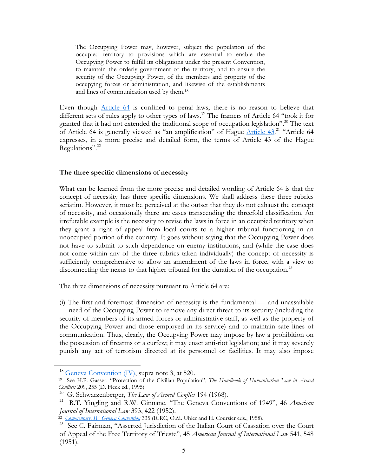The Occupying Power may, however, subject the population of the occupied territory to provisions which are essential to enable the Occupying Power to fulfill its obligations under the present Convention, to maintain the orderly government of the territory, and to ensure the security of the Occupying Power, of the members and property of the occupying forces or administration, and likewise of the establishments and lines of communication used by them. [18](#page-5-0)

Even though [Article 64](http://www.icrc.org/ihl.nsf/9861b8c2f0e83ed3c1256403003fb8c5/6db876fd94a28530c12563cd0051bef8?OpenDocument) is confined to penal laws, there is no reason to believe that different sets of rules apply to other types of laws.<sup>19</sup> The framers of Article 64 "took it for granted that it had not extended the traditional scope of occupation legislation"[.20](#page-5-2) The text of Article 64 is generally viewed as "an amplification" of Hague [Article 43.](http://www.icrc.org/ihl.nsf/51b22df69e39d9d3c12563cd00587b41/3741eab8e36e9274c12563cd00516894?OpenDocument)<sup>21</sup> "Article 64 expresses, in a more precise and detailed form, the terms of Article 43 of the Hague Regulations".<sup>22</sup>

#### **The three specific dimensions of necessity**

What can be learned from the more precise and detailed wording of Article 64 is that the concept of necessity has three specific dimensions. We shall address these three rubrics seriatim. However, it must be perceived at the outset that they do not exhaust the concept of necessity, and occasionally there are cases transcending the threefold classification. An irrefutable example is the necessity to revise the laws in force in an occupied territory when they grant a right of appeal from local courts to a higher tribunal functioning in an unoccupied portion of the country. It goes without saying that the Occupying Power does not have to submit to such dependence on enemy institutions, and (while the case does not come within any of the three rubrics taken individually) the concept of necessity is sufficiently comprehensive to allow an amendment of the laws in force, with a view to disconnecting the nexus to that higher tribunal for the duration of the occupation.<sup>23</sup>

The three dimensions of necessity pursuant to Article 64 are:

(i) The first and foremost dimension of necessity is the fundamental — and unassailable — need of the Occupying Power to remove any direct threat to its security (including the security of members of its armed forces or administrative staff, as well as the property of the Occupying Power and those employed in its service) and to maintain safe lines of communication. Thus, clearly, the Occupying Power may impose by law a prohibition on the possession of firearms or a curfew; it may enact anti-riot legislation; and it may severely punish any act of terrorism directed at its personnel or facilities. It may also impose

<u>.</u>

<span id="page-5-1"></span><span id="page-5-0"></span>

<sup>&</sup>lt;sup>18</sup> [Geneva Convention \(IV\),](http://www.icrc.org/ihl.nsf/1595a804df7efd6bc125641400640d89/6756482d86146898c125641e004aa3c5?OpenDocument) supra note 3, at 520.<br><sup>19</sup> See H.P. Gasser, "Protection of the Civilian Population", *The Handbook of Humanitarian Law in Armed Conflicts* 209, 255 (D. Fleck ed., 1995).

<span id="page-5-3"></span><span id="page-5-2"></span>

<sup>&</sup>lt;sup>20</sup> G. Schwarzenberger, *The Law of Armed Conflict* 194 (1968).<br><sup>21</sup> R.T. Yingling and R.W. Ginnane, "The Geneva Conventions of 1949", 46 *American Journal of International Law* 393, 422 (1952).

<span id="page-5-4"></span>*Journal of International Law* 393, 422 (1952). 22 *[Commentary, IV Geneva Convention](http://www.icrc.org/ihl.nsf/COMART?OpenView&Start=1&Count=150&Expand=4)* 335 (ICRC, O.M. Uhler and H. Coursier eds., 1958).

<span id="page-5-5"></span><sup>&</sup>lt;sup>23</sup> See C. Fairman, "Asserted Jurisdiction of the Italian Court of Cassation over the Court of Appeal of the Free Territory of Trieste", 45 *American Journal of International Law* 541, 548 (1951).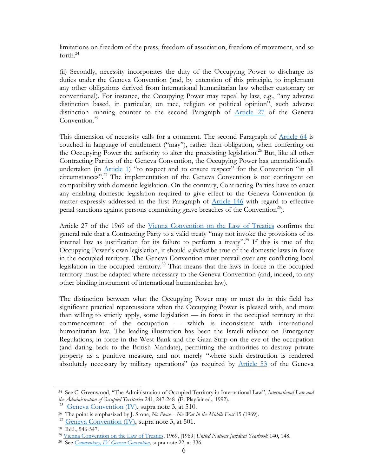limitations on freedom of the press, freedom of association, freedom of movement, and so forth. $^{24}$ 

(ii) Secondly, necessity incorporates the duty of the Occupying Power to discharge its duties under the Geneva Convention (and, by extension of this principle, to implement any other obligations derived from international humanitarian law whether customary or conventional). For instance, the Occupying Power may repeal by law, e.g., "any adverse distinction based, in particular, on race, religion or political opinion", such adverse distinction running counter to the second Paragraph of [Article 27](http://www.icrc.org/ihl.nsf/9861b8c2f0e83ed3c1256403003fb8c5/ffcb180d4e99cb26c12563cd0051bbd9?OpenDocument) of the Geneva Convention.<sup>[25](#page-6-1)</sup>

This dimension of necessity calls for a comment. The second Paragraph of [Article 64](http://www.icrc.org/ihl.nsf/9861b8c2f0e83ed3c1256403003fb8c5/6db876fd94a28530c12563cd0051bef8?OpenDocument) is couched in language of entitlement ("may"), rather than obligation, when conferring on the Occupying Power the authority to alter the preexisting legislation.<sup>26</sup> But, like all other Contracting Parties of the Geneva Convention, the Occupying Power has unconditionally undertaken (in [Article 1](http://www.icrc.org/ihl.nsf/9861b8c2f0e83ed3c1256403003fb8c5/fd45570c37b1c517c12563cd0051b98b?OpenDocument)) "to respect and to ensure respect" for the Convention "in all circumstances"[.27](#page-6-3) The implementation of the Geneva Convention is not contingent on compatibility with domestic legislation. On the contrary, Contracting Parties have to enact any enabling domestic legislation required to give effect to the Geneva Convention (a matter expressly addressed in the first Paragraph of [Article 146](http://www.icrc.org/ihl.nsf/9861b8c2f0e83ed3c1256403003fb8c5/6f96ee4c7d1e72cac12563cd0051c63a?OpenDocument) with regard to effective penal sanctions against persons committing grave breaches of the Convention<sup>28</sup>).

Article 27 of the 1969 of the [Vienna Convention on the Law of Treaties](http://www.un.org/law/ilc/texts/treaties.htm) confirms the general rule that a Contracting Party to a valid treaty "may not invoke the provisions of its internal law as justification for its failure to perform a treaty".<sup>29</sup> If this is true of the Occupying Power's own legislation, it should *a fortiori* be true of the domestic laws in force in the occupied territory. The Geneva Convention must prevail over any conflicting local legislation in the occupied territory.<sup>30</sup> That means that the laws in force in the occupied territory must be adapted where necessary to the Geneva Convention (and, indeed, to any other binding instrument of international humanitarian law).

The distinction between what the Occupying Power may or must do in this field has significant practical repercussions when the Occupying Power is pleased with, and more than willing to strictly apply, some legislation — in force in the occupied territory at the commencement of the occupation — which is inconsistent with international humanitarian law. The leading illustration has been the Israeli reliance on Emergency Regulations, in force in the West Bank and the Gaza Strip on the eve of the occupation (and dating back to the British Mandate), permitting the authorities to destroy private property as a punitive measure, and not merely "where such destruction is rendered absolutely necessary by military operations" (as required by [Article 53](http://www.icrc.org/ihl.nsf/9861b8c2f0e83ed3c1256403003fb8c5/74dee157d151f7eac12563cd0051be1b?OpenDocument) of the Geneva

<span id="page-6-0"></span><sup>24</sup> See C. Greenwood, "The Administration of Occupied Territory in International Law", *International Law and the Administration of Occupied Territories* 241, 247-248 (E. Playfair ed., 1992).

<span id="page-6-2"></span><span id="page-6-1"></span>

<sup>&</sup>lt;sup>25</sup> [Geneva Convention \(IV\)](http://www.icrc.org/ihl.nsf/1595a804df7efd6bc125641400640d89/6756482d86146898c125641e004aa3c5?OpenDocument), supra note 3, at 510.<br><sup>26</sup> The point is emphasized by J. Stone, *No Peace – No War in the Middle East* 15 (1969).

<span id="page-6-3"></span> $\frac{27}{28}$  [Geneva Convention \(IV\)](http://www.icrc.org/ihl.nsf/1595a804df7efd6bc125641400640d89/6756482d86146898c125641e004aa3c5?OpenDocument), supra note 3, at 501.<br><sup>28</sup> Ibid., 546-547.

<span id="page-6-4"></span>

<span id="page-6-5"></span><sup>29</sup> [Vienna Convention on the Law of Treaties](http://www.un.org/law/ilc/texts/treaties.htm), 1969, [1969] *United Nations Juridical Yearbook* 140, 148.

<span id="page-6-6"></span><sup>30</sup> See *[Commentary, IV Geneva Convention](http://www.icrc.org/ihl.nsf/COMART?OpenView&Start=1&Count=150&Expand=4),* supra note 22, at 336.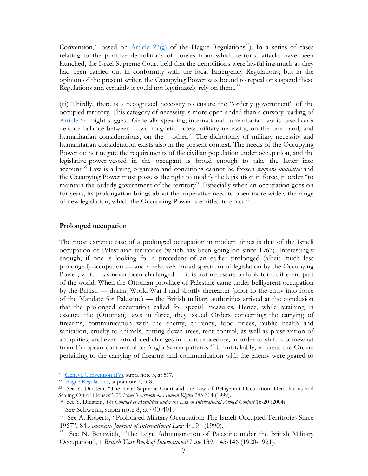Convention,<sup>31</sup> based on <u>Article 23(g)</u> of the Hague Regulations<sup>32</sup>). In a series of cases relating to the punitive demolitions of houses from which terrorist attacks have been launched, the Israel Supreme Court held that the demolitions were lawful inasmuch as they had been carried out in conformity with the local Emergency Regulations; but in the opinion of the present writer, the Occupying Power was bound to repeal or suspend these Regulations and certainly it could not legitimately rely on them.<sup>[33](#page-7-2)</sup>

(iii) Thirdly, there is a recognized necessity to ensure the "orderly government" of the occupied territory. This category of necessity is more open-ended than a cursory reading of [Article 64](http://www.icrc.org/ihl.nsf/9861b8c2f0e83ed3c1256403003fb8c5/6db876fd94a28530c12563cd0051bef8?OpenDocument) might suggest. Generally speaking, international humanitarian law is based on a delicate balance between two magnetic poles: military necessity, on the one hand, and humanitarian considerations, on the other.<sup>34</sup> The dichotomy of military necessity and humanitarian consideration exists also in the present context. The needs of the Occupying Power do not negate the requirements of the civilian population under occupation, and the legislative power vested in the occupant is broad enough to take the latter into account[.35](#page-7-4) Law is a living organism and conditions cannot be frozen *tempora mutantur* and the Occupying Power must possess the right to modify the legislation in force, in order "to maintain the orderly government of the territory". Especially when an occupation goes on for years, its prolongation brings about the imperative need to open more widely the range of new legislation, which the Occupying Power is entitled to enact.<sup>[36](#page-7-5)</sup>

#### **Prolonged occupation**

The most extreme case of a prolonged occupation in modern times is that of the Israeli occupation of Palestinian territories (which has been going on since 1967). Interestingly enough, if one is looking for a precedent of an earlier prolonged (albeit much less prolonged) occupation — and a relatively broad spectrum of legislation by the Occupying Power, which has never been challenged — it is not necessary to look for a different part of the world. When the Ottoman province of Palestine came under belligerent occupation by the British — during World War I and shortly thereafter (prior to the entry into force of the Mandate for Palestine) — the British military authorities arrived at the conclusion that the prolonged occupation called for special measures. Hence, while retaining in essence the (Ottoman) laws in force, they issued Orders concerning the carrying of firearms, communication with the enemy, currency, food prices, public health and sanitation, cruelty to animals, cutting down trees, rent control, as well as preservation of antiquities; and even introduced changes in court procedure, in order to shift it somewhat from European continental to Anglo-Saxon patterns.<sup>37</sup> Unmistakably, whereas the Orders pertaining to the carrying of firearms and communication with the enemy were geared to

<span id="page-7-0"></span>

<span id="page-7-2"></span><span id="page-7-1"></span>

<sup>&</sup>lt;sup>31</sup> [Geneva Convention \(IV\)](http://www.icrc.org/ihl.nsf/1595a804df7efd6bc125641400640d89/6756482d86146898c125641e004aa3c5?OpenDocument), supra note 3, at 517.<br><sup>32</sup> [Hague Regulations](http://www.icrc.org/ihl.nsf/52d68d14de6160e0c12563da005fdb1b/1d1726425f6955aec125641e0038bfd6?OpenDocument), supra note 1, at 83.<br><sup>33</sup> See Y. Dinstein, "The Israel Supreme Court and the Law of Belligerent Occupation: Demolitions and Sealing Off of Houses", 29 *Israel Yearbook on Human Rights* 285-304 (1999). 34 See Y. Dinstein, *The Conduct of Hostilities under the Law of International Armed Conflict* 16-20 (2004).

<span id="page-7-3"></span>

<span id="page-7-4"></span> $35$  See Schwenk, supra note 8, at 400-401.

<span id="page-7-5"></span><sup>&</sup>lt;sup>36</sup> See A. Roberts, "Prolonged Military Occupation: The Israeli-Occupied Territories Since 1967", 84 *American Journal of International Law* 44, 94 (1990).

<span id="page-7-6"></span><sup>&</sup>lt;sup>37</sup> See N. Bentwich, "The Legal Administration of Palestine under the British Military Occupation", 1 *British Year Book of International Law* 139, 145-146 (1920-1921).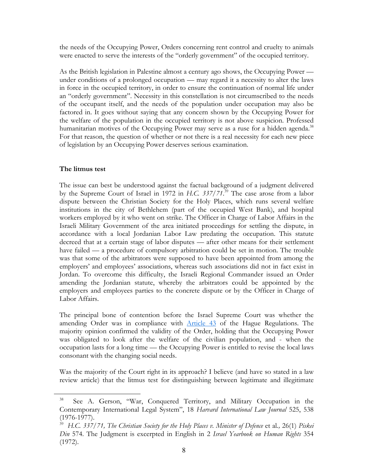the needs of the Occupying Power, Orders concerning rent control and cruelty to animals were enacted to serve the interests of the "orderly government" of the occupied territory.

As the British legislation in Palestine almost a century ago shows, the Occupying Power under conditions of a prolonged occupation — may regard it a necessity to alter the laws in force in the occupied territory, in order to ensure the continuation of normal life under an "orderly government". Necessity in this constellation is not circumscribed to the needs of the occupant itself, and the needs of the population under occupation may also be factored in. It goes without saying that any concern shown by the Occupying Power for the welfare of the population in the occupied territory is not above suspicion. Professed humanitarian motives of the Occupying Power may serve as a ruse for a hidden agenda.<sup>[38](#page-8-0)</sup> For that reason, the question of whether or not there is a real necessity for each new piece of legislation by an Occupying Power deserves serious examination.

#### **The litmus test**

 $\overline{a}$ 

The issue can best be understood against the factual background of a judgment delivered by the Supreme Court of Israel in 1972 in *H.C. 337/71*. [39](#page-8-1) The case arose from a labor dispute between the Christian Society for the Holy Places, which runs several welfare institutions in the city of Bethlehem (part of the occupied West Bank), and hospital workers employed by it who went on strike. The Officer in Charge of Labor Affairs in the Israeli Military Government of the area initiated proceedings for settling the dispute, in accordance with a local Jordanian Labor Law predating the occupation. This statute decreed that at a certain stage of labor disputes — after other means for their settlement have failed — a procedure of compulsory arbitration could be set in motion. The trouble was that some of the arbitrators were supposed to have been appointed from among the employers' and employees' associations, whereas such associations did not in fact exist in Jordan. To overcome this difficulty, the Israeli Regional Commander issued an Order amending the Jordanian statute, whereby the arbitrators could be appointed by the employers and employees parties to the concrete dispute or by the Officer in Charge of Labor Affairs.

The principal bone of contention before the Israel Supreme Court was whether the amending Order was in compliance with [Article 43](http://www.icrc.org/ihl.nsf/51b22df69e39d9d3c12563cd00587b41/3741eab8e36e9274c12563cd00516894?OpenDocument) of the Hague Regulations. The majority opinion confirmed the validity of the Order, holding that the Occupying Power was obligated to look after the welfare of the civilian population, and - when the occupation lasts for a long time — the Occupying Power is entitled to revise the local laws consonant with the changing social needs.

Was the majority of the Court right in its approach? I believe (and have so stated in a law review article) that the litmus test for distinguishing between legitimate and illegitimate

<span id="page-8-0"></span>See A. Gerson, "War, Conquered Territory, and Military Occupation in the Contemporary International Legal System", 18 *Harvard International Law Journal* 525, 538 (1976-1977).

<span id="page-8-1"></span><sup>39</sup> *H.C. 337/71, The Christian Society for the Holy Places v. Minister of Defence* et al*.,* 26(1) *Piskei Din* 574. The Judgment is excerpted in English in 2 *Israel Yearbook on Human Rights* 354 (1972).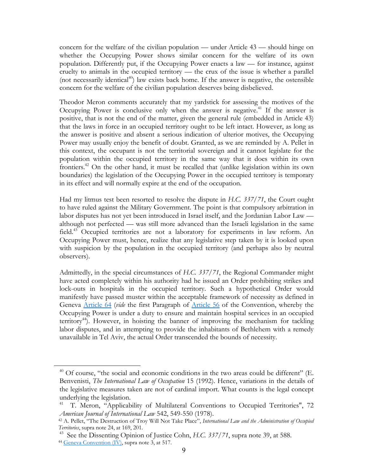concern for the welfare of the civilian population — under Article 43 — should hinge on whether the Occupying Power shows similar concern for the welfare of its own population. Differently put, if the Occupying Power enacts a law — for instance, against cruelty to animals in the occupied territory — the crux of the issue is whether a parallel (not necessarily identical<sup>40</sup>) law exists back home. If the answer is negative, the ostensible concern for the welfare of the civilian population deserves being disbelieved.

Theodor Meron comments accurately that my yardstick for assessing the motives of the Occupying Power is conclusive only when the answer is negative.<sup>41</sup> If the answer is positive, that is not the end of the matter, given the general rule (embedded in Article 43) that the laws in force in an occupied territory ought to be left intact. However, as long as the answer is positive and absent a serious indication of ulterior motives, the Occupying Power may usually enjoy the benefit of doubt. Granted, as we are reminded by A. Pellet in this context, the occupant is not the territorial sovereign and it cannot legislate for the population within the occupied territory in the same way that it does within its own frontiers[.42](#page-9-2) On the other hand, it must be recalled that (unlike legislation within its own boundaries) the legislation of the Occupying Power in the occupied territory is temporary in its effect and will normally expire at the end of the occupation.

Had my litmus test been resorted to resolve the dispute in *H.C. 337/71*, the Court ought to have ruled against the Military Government. The point is that compulsory arbitration in labor disputes has not yet been introduced in Israel itself, and the Jordanian Labor Law although not perfected — was still more advanced than the Israeli legislation in the same field.<sup>43</sup> Occupied territories are not a laboratory for experiments in law reform. An Occupying Power must, hence, realize that any legislative step taken by it is looked upon with suspicion by the population in the occupied territory (and perhaps also by neutral observers).

Admittedly, in the special circumstances of *H.C. 337/71*, the Regional Commander might have acted completely within his authority had he issued an Order prohibiting strikes and lock-outs in hospitals in the occupied territory. Such a hypothetical Order would manifestly have passed muster within the acceptable framework of necessity as defined in Geneva [Article 64](http://www.icrc.org/ihl.nsf/9861b8c2f0e83ed3c1256403003fb8c5/6db876fd94a28530c12563cd0051bef8?OpenDocument) (*vide* the first Paragraph of [Article 56](http://www.icrc.org/ihl.nsf/9861b8c2f0e83ed3c1256403003fb8c5/ad2f7f5d8cf955afc12563cd0051be51?OpenDocument) of the Convention, whereby the Occupying Power is under a duty to ensure and maintain hospital services in an occupied territory<sup>44</sup>). However, in hoisting the banner of improving the mechanism for tackling labor disputes, and in attempting to provide the inhabitants of Bethlehem with a remedy unavailable in Tel Aviv, the actual Order transcended the bounds of necessity.

<span id="page-9-0"></span><sup>&</sup>lt;sup>40</sup> Of course, "the social and economic conditions in the two areas could be different" (E. Benvenisti, *The International Law of Occupation* 15 (1992). Hence, variations in the details of the legislative measures taken are not of cardinal import. What counts is the legal concept underlying the legislation.

<span id="page-9-1"></span><sup>41</sup> T. Meron, "Applicability of Multilateral Conventions to Occupied Territories", 72 *American Journal of International Law* 542, 549-550 (1978).<br><sup>42</sup> A. Pellet, "The Destruction of Troy Will Not Take Place", *International Law and the Administration of Occupied* 

<span id="page-9-2"></span>*Territories*, supra note 24, at 169, 201.

<span id="page-9-4"></span><span id="page-9-3"></span><sup>&</sup>lt;sup>43</sup> See the Dissenting Opinion of Justice Cohn, *H.C. 337/71*, supra note 39, at 588.<br><sup>44</sup> [Geneva Convention \(IV\),](http://www.icrc.org/ihl.nsf/1595a804df7efd6bc125641400640d89/6756482d86146898c125641e004aa3c5?OpenDocument) supra note 3, at 517.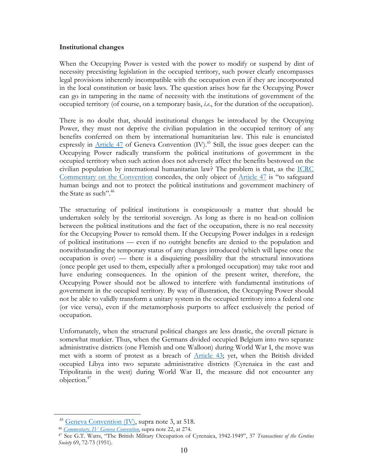#### **Institutional changes**

When the Occupying Power is vested with the power to modify or suspend by dint of necessity preexisting legislation in the occupied territory, such power clearly encompasses legal provisions inherently incompatible with the occupation even if they are incorporated in the local constitution or basic laws. The question arises how far the Occupying Power can go in tampering in the name of necessity with the institutions of government of the occupied territory (of course, on a temporary basis, *i.e*., for the duration of the occupation).

There is no doubt that, should institutional changes be introduced by the Occupying Power, they must not deprive the civilian population in the occupied territory of any benefits conferred on them by international humanitarian law. This rule is enunciated expressly in  $\Delta$ rticle 47 of Geneva Convention (IV).<sup>45</sup> Still, the issue goes deeper: can the Occupying Power radically transform the political institutions of government in the occupied territory when such action does not adversely affect the benefits bestowed on the civilian population by international humanitarian law? The problem is that, as the [ICRC](http://www.icrc.org/ihl.nsf/COMART?OpenView&Start=1&Count=150&Expand=4)  [Commentary on the Convention](http://www.icrc.org/ihl.nsf/COMART?OpenView&Start=1&Count=150&Expand=4) concedes, the only object of [Article 47](http://www.icrc.org/ihl.nsf/9861b8c2f0e83ed3c1256403003fb8c5/615b6a191d988a75c12563cd0051bd90?OpenDocument) is "to safeguard human beings and not to protect the political institutions and government machinery of the State as such".<sup>[46](#page-10-1)</sup>

The structuring of political institutions is conspicuously a matter that should be undertaken solely by the territorial sovereign. As long as there is no head-on collision between the political institutions and the fact of the occupation, there is no real necessity for the Occupying Power to remold them. If the Occupying Power indulges in a redesign of political institutions — even if no outright benefits are denied to the population and notwithstanding the temporary status of any changes introduced (which will lapse once the occupation is over) — there is a disquieting possibility that the structural innovations (once people get used to them, especially after a prolonged occupation) may take root and have enduring consequences. In the opinion of the present writer, therefore, the Occupying Power should not be allowed to interfere with fundamental institutions of government in the occupied territory. By way of illustration, the Occupying Power should not be able to validly transform a unitary system in the occupied territory into a federal one (or vice versa), even if the metamorphosis purports to affect exclusively the period of occupation.

Unfortunately, when the structural political changes are less drastic, the overall picture is somewhat murkier. Thus, when the Germans divided occupied Belgium into two separate administrative districts (one Flemish and one Walloon) during World War I, the move was met with a storm of protest as a breach of [Article 43;](http://www.icrc.org/ihl.nsf/51b22df69e39d9d3c12563cd00587b41/3741eab8e36e9274c12563cd00516894?OpenDocument) yet, when the British divided occupied Libya into two separate administrative districts (Cyrenaica in the east and Tripolitania in the west) during World War II, the measure did not encounter any objection[.47](#page-10-2)

<span id="page-10-0"></span><sup>45</sup> [Geneva Convention \(IV\),](http://www.icrc.org/ihl.nsf/1595a804df7efd6bc125641400640d89/6756482d86146898c125641e004aa3c5?OpenDocument) supra note 3, at 518. 46 *[Commentary, IV Geneva Convention](http://www.icrc.org/ihl.nsf/COMART?OpenView&Start=1&Count=150&Expand=4)*, supra note 22, at 274.

<span id="page-10-1"></span>

<span id="page-10-2"></span><sup>47</sup> See G.T. Watts, "The British Military Occupation of Cyrenaica, 1942-1949", 37 *Transactions of the Grotius Society* 69, 72-73 (1951).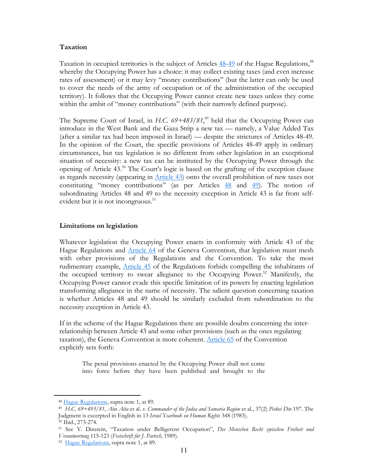#### **Taxation**

Taxation in occupied territories is the subject of Articles  $48-49$  $48-49$  of the Hague Regulations,<sup>[48](#page-11-0)</sup> whereby the Occupying Power has a choice: it may collect existing taxes (and even increase rates of assessment) or it may levy "money contributions" (but the latter can only be used to cover the needs of the army of occupation or of the administration of the occupied territory). It follows that the Occupying Power cannot create new taxes unless they come within the ambit of "money contributions" (with their narrowly defined purpose).

The Supreme Court of Israel, in *H.C. 69+483/81*,<sup>49</sup> held that the Occupying Power can introduce in the West Bank and the Gaza Strip a new tax — namely, a Value Added Tax (after a similar tax had been imposed in Israel) — despite the strictures of Articles 48-49. In the opinion of the Court, the specific provisions of Articles 48-49 apply in ordinary circumstances, but tax legislation is no different from other legislation in an exceptional situation of necessity: a new tax can be instituted by the Occupying Power through the opening of Article 43.[50](#page-11-2) The Court's logic is based on the grafting of the exception clause as regards necessity (appearing in [Article 43](http://www.icrc.org/ihl.nsf/51b22df69e39d9d3c12563cd00587b41/3741eab8e36e9274c12563cd00516894?OpenDocument)) onto the overall prohibition of new taxes not constituting "money contributions" (as per Articles  $\frac{48}{10}$  $\frac{48}{10}$  $\frac{48}{10}$  and  $\frac{49}{10}$ ). The notion of subordinating Articles 48 and 49 to the necessity exception in Article 43 is far from selfevident but it is not incongruous.<sup>51</sup>

#### **Limitations on legislation**

Whatever legislation the Occupying Power enacts in conformity with Article 43 of the Hague Regulations and  $\Delta$ rticle 64 of the Geneva Convention, that legislation must mesh with other provisions of the Regulations and the Convention. To take the most rudimentary example, [Article 45](http://www.icrc.org/ihl.nsf/51b22df69e39d9d3c12563cd00587b41/2659ef8e9c6aa778c12563cd005168b2?OpenDocument) of the Regulations forbids compelling the inhabitants of the occupied territory to swear allegiance to the Occupying Power.<sup>52</sup> Manifestly, the Occupying Power cannot evade this specific limitation of its powers by enacting legislation transforming allegiance in the name of necessity. The salient question concerning taxation is whether Articles 48 and 49 should be similarly excluded from subordination to the necessity exception in Article 43.

If in the scheme of the Hague Regulations there are possible doubts concerning the interrelationship between Article 43 and some other provisions (such as the ones regulating taxation), the Geneva Convention is more coherent. [Article 65](http://www.icrc.org/ihl.nsf/9861b8c2f0e83ed3c1256403003fb8c5/7cfc01cacb1e32a6c12563cd0051bf0e?OpenDocument) of the Convention explicitly sets forth:

The penal provisions enacted by the Occupying Power shall not come into force before they have been published and brought to the

<span id="page-11-1"></span><span id="page-11-0"></span>

<sup>&</sup>lt;sup>48</sup> [Hague Regulations,](http://www.icrc.org/ihl.nsf/52d68d14de6160e0c12563da005fdb1b/1d1726425f6955aec125641e0038bfd6?OpenDocument) supra note 1, at 89.<br><sup>49</sup> H.C. 69+493/81, Abu Aita et al. *v. Commander of the Judea and Samaria* Region et al., 37(2) *Piskei Din* 197. The Judgment is excerpted in English in 13 *Israel Yearbook on Human Rights* 348 (1983). 50 Ibid., 273-274.

<span id="page-11-2"></span>

<span id="page-11-3"></span><sup>51</sup> See Y. Dinstein, "Taxation under Belligerent Occupation", *Des Menschen Recht zwischen Freiheit und Verantwortung* 115-123 (*Festschrift für J. Partsch*, 1989). 52 [Hague Regulations](http://www.icrc.org/ihl.nsf/52d68d14de6160e0c12563da005fdb1b/1d1726425f6955aec125641e0038bfd6?OpenDocument), supra note 1, at 89.

<span id="page-11-4"></span>